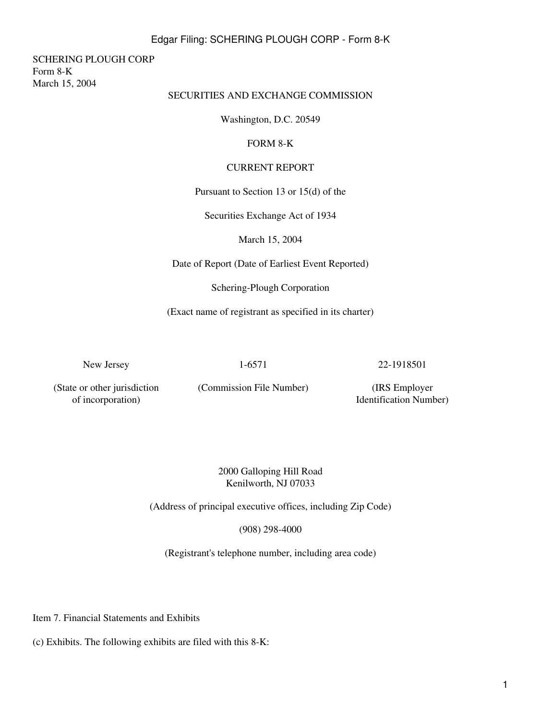### Edgar Filing: SCHERING PLOUGH CORP - Form 8-K

SCHERING PLOUGH CORP Form 8-K March 15, 2004

## SECURITIES AND EXCHANGE COMMISSION

Washington, D.C. 20549

#### FORM 8-K

### CURRENT REPORT

Pursuant to Section 13 or 15(d) of the

Securities Exchange Act of 1934

March 15, 2004

Date of Report (Date of Earliest Event Reported)

Schering-Plough Corporation

(Exact name of registrant as specified in its charter)

New Jersey 1-6571 22-1918501

(State or other jurisdiction of incorporation)

(Commission File Number) (IRS Employer

Identification Number)

2000 Galloping Hill Road Kenilworth, NJ 07033

(Address of principal executive offices, including Zip Code)

(908) 298-4000

(Registrant's telephone number, including area code)

Item 7. Financial Statements and Exhibits

(c) Exhibits. The following exhibits are filed with this 8-K: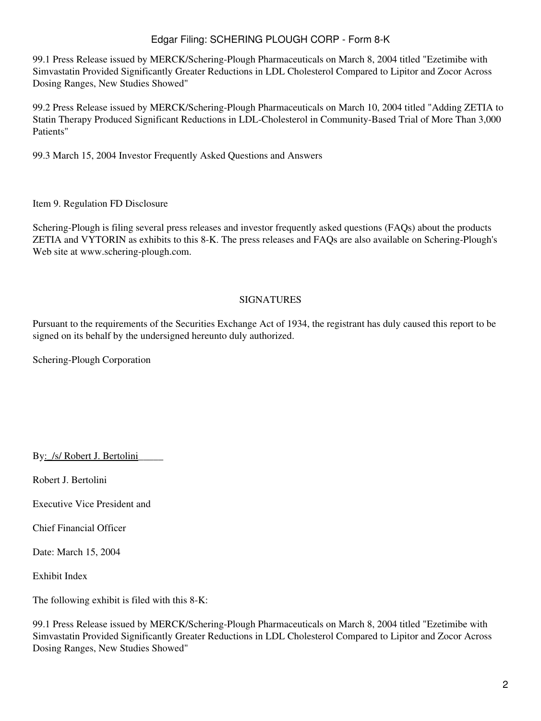# Edgar Filing: SCHERING PLOUGH CORP - Form 8-K

99.1 Press Release issued by MERCK/Schering-Plough Pharmaceuticals on March 8, 2004 titled "Ezetimibe with Simvastatin Provided Significantly Greater Reductions in LDL Cholesterol Compared to Lipitor and Zocor Across Dosing Ranges, New Studies Showed"

99.2 Press Release issued by MERCK/Schering-Plough Pharmaceuticals on March 10, 2004 titled "Adding ZETIA to Statin Therapy Produced Significant Reductions in LDL-Cholesterol in Community-Based Trial of More Than 3,000 Patients"

99.3 March 15, 2004 Investor Frequently Asked Questions and Answers

Item 9. Regulation FD Disclosure

Schering-Plough is filing several press releases and investor frequently asked questions (FAQs) about the products ZETIA and VYTORIN as exhibits to this 8-K. The press releases and FAQs are also available on Schering-Plough's Web site at www.schering-plough.com.

### SIGNATURES

Pursuant to the requirements of the Securities Exchange Act of 1934, the registrant has duly caused this report to be signed on its behalf by the undersigned hereunto duly authorized.

Schering-Plough Corporation

By: /s/ Robert J. Bertolini

Robert J. Bertolini

Executive Vice President and

Chief Financial Officer

Date: March 15, 2004

Exhibit Index

The following exhibit is filed with this 8-K:

99.1 Press Release issued by MERCK/Schering-Plough Pharmaceuticals on March 8, 2004 titled "Ezetimibe with Simvastatin Provided Significantly Greater Reductions in LDL Cholesterol Compared to Lipitor and Zocor Across Dosing Ranges, New Studies Showed"